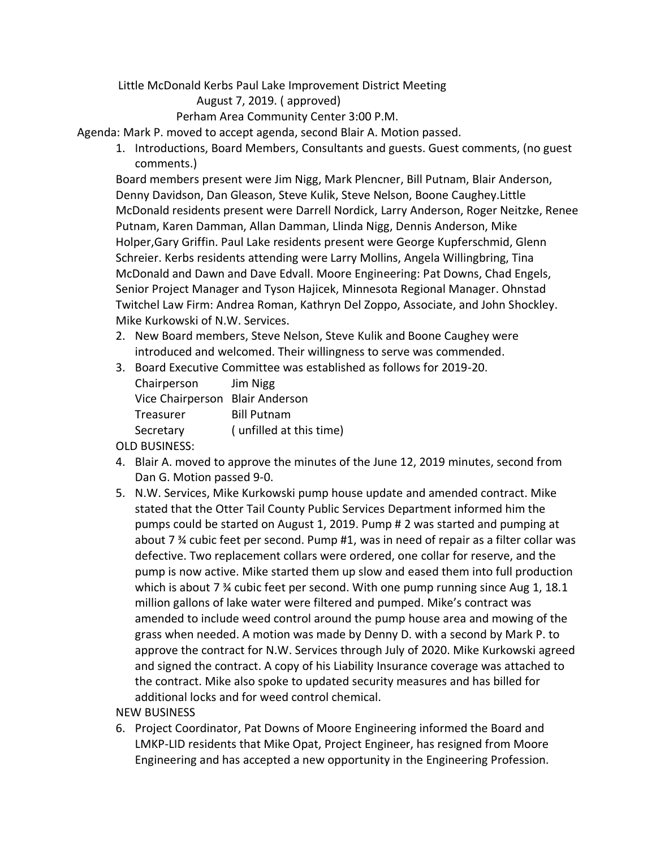Little McDonald Kerbs Paul Lake Improvement District Meeting

August 7, 2019. ( approved)

Perham Area Community Center 3:00 P.M.

Agenda: Mark P. moved to accept agenda, second Blair A. Motion passed.

1. Introductions, Board Members, Consultants and guests. Guest comments, (no guest comments.)

Board members present were Jim Nigg, Mark Plencner, Bill Putnam, Blair Anderson, Denny Davidson, Dan Gleason, Steve Kulik, Steve Nelson, Boone Caughey.Little McDonald residents present were Darrell Nordick, Larry Anderson, Roger Neitzke, Renee Putnam, Karen Damman, Allan Damman, Llinda Nigg, Dennis Anderson, Mike Holper,Gary Griffin. Paul Lake residents present were George Kupferschmid, Glenn Schreier. Kerbs residents attending were Larry Mollins, Angela Willingbring, Tina McDonald and Dawn and Dave Edvall. Moore Engineering: Pat Downs, Chad Engels, Senior Project Manager and Tyson Hajicek, Minnesota Regional Manager. Ohnstad Twitchel Law Firm: Andrea Roman, Kathryn Del Zoppo, Associate, and John Shockley. Mike Kurkowski of N.W. Services.

- 2. New Board members, Steve Nelson, Steve Kulik and Boone Caughey were introduced and welcomed. Their willingness to serve was commended.
- 3. Board Executive Committee was established as follows for 2019-20.

|  | Chairperson                     | Jim Nigg                |
|--|---------------------------------|-------------------------|
|  | Vice Chairperson Blair Anderson |                         |
|  | Treasurer                       | <b>Bill Putnam</b>      |
|  | Secretary                       | (unfilled at this time) |
|  |                                 |                         |

OLD BUSINESS:

- 4. Blair A. moved to approve the minutes of the June 12, 2019 minutes, second from Dan G. Motion passed 9-0.
- 5. N.W. Services, Mike Kurkowski pump house update and amended contract. Mike stated that the Otter Tail County Public Services Department informed him the pumps could be started on August 1, 2019. Pump # 2 was started and pumping at about 7 ¾ cubic feet per second. Pump #1, was in need of repair as a filter collar was defective. Two replacement collars were ordered, one collar for reserve, and the pump is now active. Mike started them up slow and eased them into full production which is about 7  $\frac{3}{2}$  cubic feet per second. With one pump running since Aug 1, 18.1 million gallons of lake water were filtered and pumped. Mike's contract was amended to include weed control around the pump house area and mowing of the grass when needed. A motion was made by Denny D. with a second by Mark P. to approve the contract for N.W. Services through July of 2020. Mike Kurkowski agreed and signed the contract. A copy of his Liability Insurance coverage was attached to the contract. Mike also spoke to updated security measures and has billed for additional locks and for weed control chemical.

## NEW BUSINESS

6. Project Coordinator, Pat Downs of Moore Engineering informed the Board and LMKP-LID residents that Mike Opat, Project Engineer, has resigned from Moore Engineering and has accepted a new opportunity in the Engineering Profession.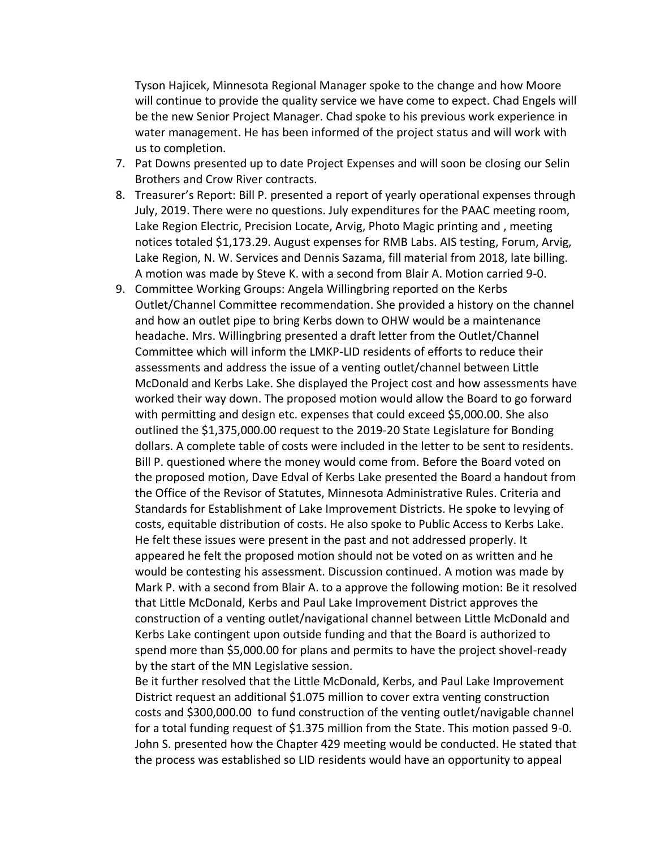Tyson Hajicek, Minnesota Regional Manager spoke to the change and how Moore will continue to provide the quality service we have come to expect. Chad Engels will be the new Senior Project Manager. Chad spoke to his previous work experience in water management. He has been informed of the project status and will work with us to completion.

- 7. Pat Downs presented up to date Project Expenses and will soon be closing our Selin Brothers and Crow River contracts.
- 8. Treasurer's Report: Bill P. presented a report of yearly operational expenses through July, 2019. There were no questions. July expenditures for the PAAC meeting room, Lake Region Electric, Precision Locate, Arvig, Photo Magic printing and , meeting notices totaled \$1,173.29. August expenses for RMB Labs. AIS testing, Forum, Arvig, Lake Region, N. W. Services and Dennis Sazama, fill material from 2018, late billing. A motion was made by Steve K. with a second from Blair A. Motion carried 9-0.
- 9. Committee Working Groups: Angela Willingbring reported on the Kerbs Outlet/Channel Committee recommendation. She provided a history on the channel and how an outlet pipe to bring Kerbs down to OHW would be a maintenance headache. Mrs. Willingbring presented a draft letter from the Outlet/Channel Committee which will inform the LMKP-LID residents of efforts to reduce their assessments and address the issue of a venting outlet/channel between Little McDonald and Kerbs Lake. She displayed the Project cost and how assessments have worked their way down. The proposed motion would allow the Board to go forward with permitting and design etc. expenses that could exceed \$5,000.00. She also outlined the \$1,375,000.00 request to the 2019-20 State Legislature for Bonding dollars. A complete table of costs were included in the letter to be sent to residents. Bill P. questioned where the money would come from. Before the Board voted on the proposed motion, Dave Edval of Kerbs Lake presented the Board a handout from the Office of the Revisor of Statutes, Minnesota Administrative Rules. Criteria and Standards for Establishment of Lake Improvement Districts. He spoke to levying of costs, equitable distribution of costs. He also spoke to Public Access to Kerbs Lake. He felt these issues were present in the past and not addressed properly. It appeared he felt the proposed motion should not be voted on as written and he would be contesting his assessment. Discussion continued. A motion was made by Mark P. with a second from Blair A. to a approve the following motion: Be it resolved that Little McDonald, Kerbs and Paul Lake Improvement District approves the construction of a venting outlet/navigational channel between Little McDonald and Kerbs Lake contingent upon outside funding and that the Board is authorized to spend more than \$5,000.00 for plans and permits to have the project shovel-ready by the start of the MN Legislative session.

Be it further resolved that the Little McDonald, Kerbs, and Paul Lake Improvement District request an additional \$1.075 million to cover extra venting construction costs and \$300,000.00 to fund construction of the venting outlet/navigable channel for a total funding request of \$1.375 million from the State. This motion passed 9-0. John S. presented how the Chapter 429 meeting would be conducted. He stated that the process was established so LID residents would have an opportunity to appeal